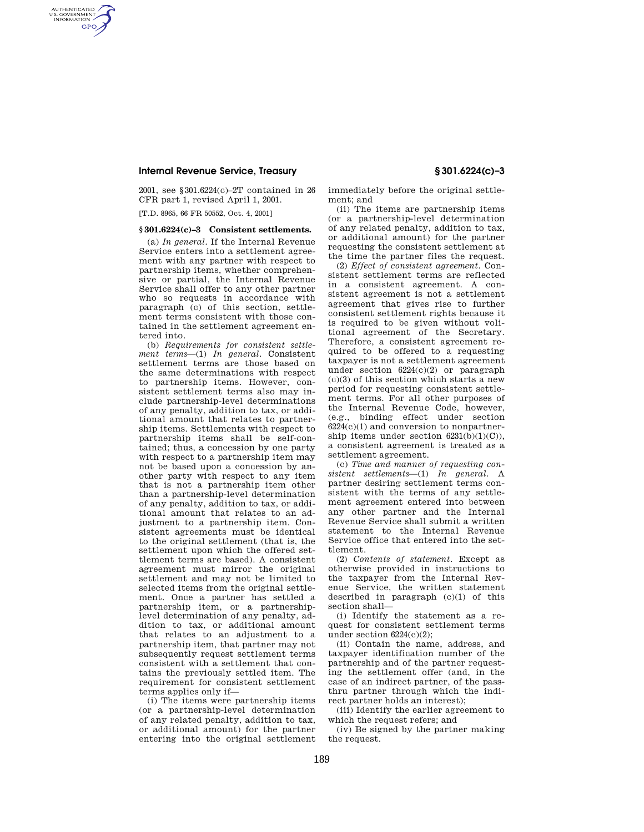## **Internal Revenue Service, Treasury § 301.6224(c)–3**

2001, see §301.6224(c)–2T contained in 26 CFR part 1, revised April 1, 2001.

[T.D. 8965, 66 FR 50552, Oct. 4, 2001]

AUTHENTICATED<br>U.S. GOVERNMENT<br>INFORMATION **GPO** 

## **§ 301.6224(c)–3 Consistent settlements.**

(a) *In general.* If the Internal Revenue Service enters into a settlement agreement with any partner with respect to partnership items, whether comprehensive or partial, the Internal Revenue Service shall offer to any other partner who so requests in accordance with paragraph (c) of this section, settlement terms consistent with those contained in the settlement agreement entered into.

(b) *Requirements for consistent settlement terms*—(1) *In general.* Consistent settlement terms are those based on the same determinations with respect to partnership items. However, consistent settlement terms also may include partnership-level determinations of any penalty, addition to tax, or additional amount that relates to partnership items. Settlements with respect to partnership items shall be self-contained; thus, a concession by one party with respect to a partnership item may not be based upon a concession by another party with respect to any item that is not a partnership item other than a partnership-level determination of any penalty, addition to tax, or additional amount that relates to an adjustment to a partnership item. Consistent agreements must be identical to the original settlement (that is, the settlement upon which the offered settlement terms are based). A consistent agreement must mirror the original settlement and may not be limited to selected items from the original settlement. Once a partner has settled a partnership item, or a partnershiplevel determination of any penalty, addition to tax, or additional amount that relates to an adjustment to a partnership item, that partner may not subsequently request settlement terms consistent with a settlement that contains the previously settled item. The requirement for consistent settlement terms applies only if—

(i) The items were partnership items (or a partnership-level determination of any related penalty, addition to tax, or additional amount) for the partner entering into the original settlement immediately before the original settlement; and

(ii) The items are partnership items (or a partnership-level determination of any related penalty, addition to tax, or additional amount) for the partner requesting the consistent settlement at the time the partner files the request.

(2) *Effect of consistent agreement.* Consistent settlement terms are reflected in a consistent agreement. A consistent agreement is not a settlement agreement that gives rise to further consistent settlement rights because it is required to be given without volitional agreement of the Secretary. Therefore, a consistent agreement required to be offered to a requesting taxpayer is not a settlement agreement under section 6224(c)(2) or paragraph  $(c)(3)$  of this section which starts a new period for requesting consistent settlement terms. For all other purposes of the Internal Revenue Code, however, (e.g., binding effect under section  $6224(c)(1)$  and conversion to nonpartnership items under section  $6231(b)(1)(C)$ . a consistent agreement is treated as a settlement agreement.

(c) *Time and manner of requesting consistent settlements*—(1) *In general.* A partner desiring settlement terms consistent with the terms of any settlement agreement entered into between any other partner and the Internal Revenue Service shall submit a written statement to the Internal Revenue Service office that entered into the settlement.

(2) *Contents of statement.* Except as otherwise provided in instructions to the taxpayer from the Internal Revenue Service, the written statement described in paragraph  $(c)(1)$  of this section shall—

(i) Identify the statement as a request for consistent settlement terms under section 6224(c)(2);

(ii) Contain the name, address, and taxpayer identification number of the partnership and of the partner requesting the settlement offer (and, in the case of an indirect partner, of the passthru partner through which the indirect partner holds an interest);

(iii) Identify the earlier agreement to which the request refers; and

(iv) Be signed by the partner making the request.